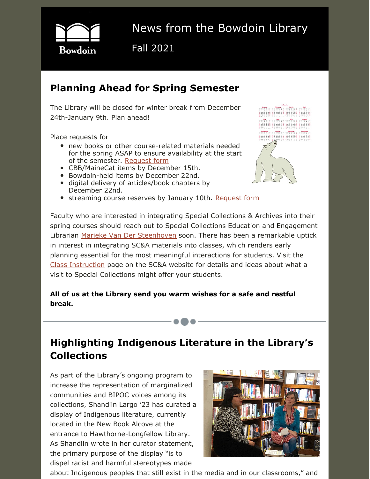

# News from the Bowdoin Library

Fall 2021

# **Planning Ahead for Spring Semester**

 The Library will be closed for winter break from December 24th-January 9th. Plan ahead!

Place requests for

-----------•••-----------

- • new books or other course-related materials needed for the spring ASAP to ensure availability at the start of the semester. [Request](https://library.bowdoin.edu/services/order-forms.shtml) form
- CBB/MaineCat items by December 15th.
- Bowdoin-held items by December 22nd.
- digital delivery of articles/book chapters by December 22nd.
- **•** streaming course reserves by January 10th. [Request](https://forms.office.com/Pages/ResponsePage.aspx?id=5TJOmIr5AEaqMifD-Uir47W6eBd1uHVMp3Er0pVsoaRUOVUySzE5VUtMMFFPREo5VEdYVjhSNkdIQy4u) form





 Faculty who are interested in integrating Special Collections & Archives into their spring courses should reach out to Special Collections Education and Engagement Librarian Marieke Van Der [Steenhoven](mailto:mvanders@bowdoin.edu) soon. There has been a remarkable uptick in interest in integrating SC&A materials into classes, which renders early planning essential for the most meaningful interactions for students. Visit the Class [Instruction](https://library.bowdoin.edu/arch/research-and-instructional-services/program-goals.shtml) page on the SC&A website for details and ideas about what a visit to Special Collections might offer your students.

 **All of us at the Library send you warm wishes for a safe and restful break.**

# **Highlighting Indigenous Literature in the Library's Collections**

 As part of the Library's ongoing program to increase the representation of marginalized communities and BIPOC voices among its collections, Shandiin Largo '23 has curated a display of Indigenous literature, currently located in the New Book Alcove at the entrance to Hawthorne-Longfellow Library. As Shandiin wrote in her curator statement, the primary purpose of the display "is to dispel racist and harmful stereotypes made



about Indigenous peoples that still exist in the media and in our classrooms," and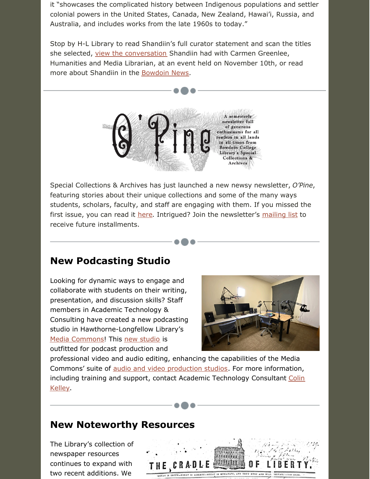it "showcases the complicated history between Indigenous populations and settler colonial powers in the United States, Canada, New Zealand, Hawai'i, Russia, and Australia, and includes works from the late 1960s to today."

 Stop by H-L Library to read Shandiin's full curator statement and scan the titles she selected, view the [conversation](https://www.facebook.com/BowdoinLibrary/videos/302841714842794) Shandiin had with Carmen Greenlee, Humanities and Media Librarian, at an event held on November 10th, or read more about Shandiin in the **[Bowdoin](https://www.bowdoin.edu/news/2021/11/library-launches-student-curated-book-display-highlighting-indigenous-literature.html) News**.



 Special Collections & Archives has just launched a new newsy newsletter, *O'Pine*, featuring stories about their unique collections and some of the many ways students, scholars, faculty, and staff are engaging with them. If you missed the first issue, you can read it [here](https://library.bowdoin.edu/arch/about-us/opine/). Intrigued? Join the newsletter's [mailing](https://lp.constantcontactpages.com/su/o5VkTFy/opine?source_id=5444e215-eb31-4b98-8c6f-7140fad83f53&source_type=em&c=&source_id=359d36b5-7172-49d5-8805-63b0d66e9fc5&source_type=em&c=) list to receive future installments.

### **New Podcasting Studio**

-------------•••-------------

 Looking for dynamic ways to engage and collaborate with students on their writing, presentation, and discussion skills? Staff members in Academic Technology & Consulting have created a new podcasting studio in Hawthorne-Longfellow Library's Media [Commons](https://library.bowdoin.edu/media-commons/)! This new [studio](https://bowdoin.libcal.com/space/99454) is outfitted for podcast production and



 professional video and audio editing, enhancing the capabilities of the Media Commons' suite of audio and video [production](https://library.bowdoin.edu/media-commons/rooms.shtml) studios. For more information, including training and support, contact Academic [Technology](mailto:ckelley@bowdoin.edu) Consultant Colin Kelley.

#### **New Noteworthy Resources**

 The Library's collection of continues to expand with two recent additions. Wenewspaper resources

-------------•••-------------

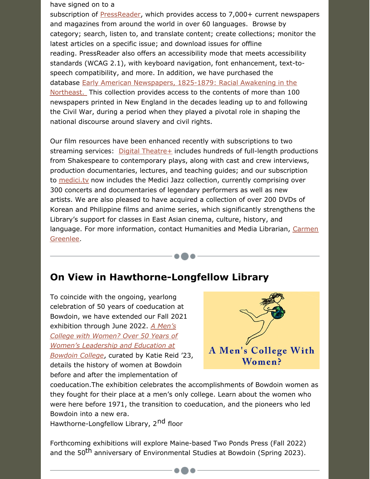#### have signed on to a

----------•••----------

subscription of [PressReader](https://library.bowdoin.edu/erl/ip/pressreader.cgi), which provides access to 7,000+ current newspapers and magazines from around the world in over 60 languages. Browse by category; search, listen to, and translate content; create collections; monitor the latest articles on a specific issue; and download issues for offline reading. PressReader also offers an accessibility mode that meets accessibility standards (WCAG 2.1), with keyboard navigation, font enhancement, text-to- speech compatibility, and more. In addition, we have purchased the database Early American [Newspapers,](http://library.bowdoin.edu/erl/ip/earlyamernews.cgi) 1825-1879: Racial Awakening in the [Northeast.](http://library.bowdoin.edu/erl/ip/earlyamernews.cgi) This collection provides access to the contents of more than 100 newspapers printed in New England in the decades leading up to and following the Civil War, during a period when they played a pivotal role in shaping the national discourse around slavery and civil rights.

 Our film resources have been enhanced recently with subscriptions to two streaming services: Digital [Theatre+](https://library.bowdoin.edu/erl/ip/digital-theatre-plus.cgi) includes hundreds of full-length productions from Shakespeare to contemporary plays, along with cast and crew interviews, production documentaries, lectures, and teaching guides; and our subscription to *[medici.tv](https://library.bowdoin.edu/erl/ip/medici-tv.cgi)* now includes the Medici Jazz collection, currently comprising over 300 concerts and documentaries of legendary performers as well as new artists. We are also pleased to have acquired a collection of over 200 DVDs of Korean and Philippine films and anime series, which significantly strengthens the Library's support for classes in East Asian cinema, culture, history, and language. For more [information,](mailto:cgreenle@bowdoin.edu) contact Humanities and Media Librarian, Carmen Greenlee.

## **On View in Hawthorne-Longfellow Library**

 To coincide with the ongoing, yearlong celebration of 50 years of coeducation at Bowdoin, we have extended our Fall 2021 exhibition through June 2022. *A Men's College with Women? Over 50 Years of Women's [Leadership](https://sca.bowdoin.edu/women-at-bowdoin) and Education at Bowdoin College*, curated by Katie Reid '23, details the history of women at Bowdoin before and after the implementation of



 coeducation.The exhibition celebrates the accomplishments of Bowdoin women as they fought for their place at a men's only college. Learn about the women who were here before 1971, the transition to coeducation, and the pioneers who led Bowdoin into a new era.

Hawthorne-Longfellow Library, 2<sup>nd</sup> floor

-----------•••-----------

 Forthcoming exhibitions will explore Maine-based Two Ponds Press (Fall 2022) and the 50<sup>th</sup> anniversary of Environmental Studies at Bowdoin (Spring 2023).